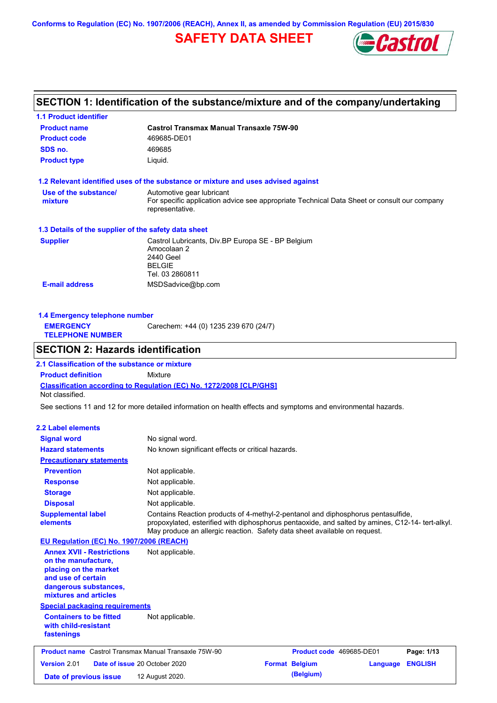# **SAFETY DATA SHEET**



# **SECTION 1: Identification of the substance/mixture and of the company/undertaking**

| <b>1.1 Product identifier</b>                                                                                                                            |                                                                                                                                                                                                                                                                   |                          |                 |                |
|----------------------------------------------------------------------------------------------------------------------------------------------------------|-------------------------------------------------------------------------------------------------------------------------------------------------------------------------------------------------------------------------------------------------------------------|--------------------------|-----------------|----------------|
| <b>Product name</b>                                                                                                                                      | <b>Castrol Transmax Manual Transaxle 75W-90</b>                                                                                                                                                                                                                   |                          |                 |                |
| <b>Product code</b>                                                                                                                                      | 469685-DE01                                                                                                                                                                                                                                                       |                          |                 |                |
| SDS no.                                                                                                                                                  | 469685                                                                                                                                                                                                                                                            |                          |                 |                |
| <b>Product type</b>                                                                                                                                      | Liquid.                                                                                                                                                                                                                                                           |                          |                 |                |
|                                                                                                                                                          | 1.2 Relevant identified uses of the substance or mixture and uses advised against                                                                                                                                                                                 |                          |                 |                |
| Use of the substance/<br>mixture                                                                                                                         | Automotive gear lubricant<br>For specific application advice see appropriate Technical Data Sheet or consult our company<br>representative.                                                                                                                       |                          |                 |                |
| 1.3 Details of the supplier of the safety data sheet                                                                                                     |                                                                                                                                                                                                                                                                   |                          |                 |                |
| <b>Supplier</b>                                                                                                                                          | Castrol Lubricants, Div.BP Europa SE - BP Belgium<br>Amocolaan 2<br>2440 Geel<br><b>BELGIE</b><br>Tel. 03 2860811                                                                                                                                                 |                          |                 |                |
| <b>E-mail address</b>                                                                                                                                    | MSDSadvice@bp.com                                                                                                                                                                                                                                                 |                          |                 |                |
| 1.4 Emergency telephone number                                                                                                                           |                                                                                                                                                                                                                                                                   |                          |                 |                |
| <b>EMERGENCY</b><br><b>TELEPHONE NUMBER</b>                                                                                                              | Carechem: +44 (0) 1235 239 670 (24/7)                                                                                                                                                                                                                             |                          |                 |                |
| <b>SECTION 2: Hazards identification</b>                                                                                                                 |                                                                                                                                                                                                                                                                   |                          |                 |                |
| 2.1 Classification of the substance or mixture                                                                                                           |                                                                                                                                                                                                                                                                   |                          |                 |                |
| <b>Product definition</b>                                                                                                                                | <b>Mixture</b>                                                                                                                                                                                                                                                    |                          |                 |                |
|                                                                                                                                                          |                                                                                                                                                                                                                                                                   |                          |                 |                |
| Not classified.                                                                                                                                          | Classification according to Regulation (EC) No. 1272/2008 [CLP/GHS]                                                                                                                                                                                               |                          |                 |                |
|                                                                                                                                                          | See sections 11 and 12 for more detailed information on health effects and symptoms and environmental hazards.                                                                                                                                                    |                          |                 |                |
|                                                                                                                                                          |                                                                                                                                                                                                                                                                   |                          |                 |                |
| <b>Signal word</b>                                                                                                                                       | No signal word.                                                                                                                                                                                                                                                   |                          |                 |                |
| <b>Hazard statements</b>                                                                                                                                 | No known significant effects or critical hazards.                                                                                                                                                                                                                 |                          |                 |                |
| <b>Precautionary statements</b>                                                                                                                          |                                                                                                                                                                                                                                                                   |                          |                 |                |
| <b>Prevention</b>                                                                                                                                        | Not applicable.                                                                                                                                                                                                                                                   |                          |                 |                |
| <b>Response</b>                                                                                                                                          | Not applicable.                                                                                                                                                                                                                                                   |                          |                 |                |
| <b>Storage</b>                                                                                                                                           | Not applicable.                                                                                                                                                                                                                                                   |                          |                 |                |
| <b>2.2 Label elements</b><br><b>Disposal</b>                                                                                                             | Not applicable.                                                                                                                                                                                                                                                   |                          |                 |                |
| <b>Supplemental label</b><br>elements                                                                                                                    | Contains Reaction products of 4-methyl-2-pentanol and diphosphorus pentasulfide,<br>propoxylated, esterified with diphosphorus pentaoxide, and salted by amines, C12-14- tert-alkyl.<br>May produce an allergic reaction. Safety data sheet available on request. |                          |                 |                |
| EU Regulation (EC) No. 1907/2006 (REACH)                                                                                                                 |                                                                                                                                                                                                                                                                   |                          |                 |                |
| <b>Annex XVII - Restrictions</b><br>on the manufacture,<br>placing on the market<br>and use of certain<br>dangerous substances,<br>mixtures and articles | Not applicable.                                                                                                                                                                                                                                                   |                          |                 |                |
| <b>Special packaging requirements</b>                                                                                                                    |                                                                                                                                                                                                                                                                   |                          |                 |                |
| <b>Containers to be fitted</b><br>with child-resistant<br>fastenings                                                                                     | Not applicable.                                                                                                                                                                                                                                                   |                          |                 |                |
| <b>Product name</b> Castrol Transmax Manual Transaxle 75W-90                                                                                             |                                                                                                                                                                                                                                                                   | Product code 469685-DE01 |                 | Page: 1/13     |
| Version 2.01                                                                                                                                             | Date of issue 20 October 2020                                                                                                                                                                                                                                     | <b>Format Belgium</b>    | <b>Language</b> | <b>ENGLISH</b> |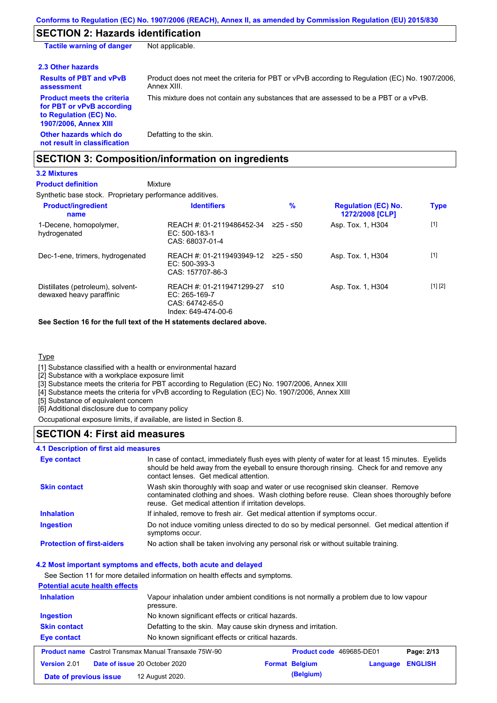### **SECTION 2: Hazards identification**

| <b>Tactile warning of danger</b>                                                                                         | Not applicable.                                                                                               |
|--------------------------------------------------------------------------------------------------------------------------|---------------------------------------------------------------------------------------------------------------|
| 2.3 Other hazards                                                                                                        |                                                                                                               |
| <b>Results of PBT and vPvB</b><br>assessment                                                                             | Product does not meet the criteria for PBT or vPvB according to Regulation (EC) No. 1907/2006,<br>Annex XIII. |
| <b>Product meets the criteria</b><br>for PBT or vPvB according<br>to Regulation (EC) No.<br><b>1907/2006, Annex XIII</b> | This mixture does not contain any substances that are assessed to be a PBT or a vPvB.                         |
| Other hazards which do<br>not result in classification                                                                   | Defatting to the skin.                                                                                        |

## **SECTION 3: Composition/information on ingredients**

#### Mixture **Product definition**

Synthetic base stock. Proprietary performance additives.

| <b>Product/ingredient</b><br>name                             | <b>Identifiers</b>                                                                     | $\%$      | <b>Regulation (EC) No.</b><br>1272/2008 [CLP] | <b>Type</b> |
|---------------------------------------------------------------|----------------------------------------------------------------------------------------|-----------|-----------------------------------------------|-------------|
| 1-Decene, homopolymer,<br>hydrogenated                        | REACH #: 01-2119486452-34<br>EC: 500-183-1<br>CAS: 68037-01-4                          | 225 - ≤50 | Asp. Tox. 1, H304                             | $[1]$       |
| Dec-1-ene, trimers, hydrogenated                              | REACH #: 01-2119493949-12<br>$EC: 500-393-3$<br>CAS: 157707-86-3                       | 225 - ≤50 | Asp. Tox. 1, H304                             | $[1]$       |
| Distillates (petroleum), solvent-<br>dewaxed heavy paraffinic | REACH #: 01-2119471299-27<br>$EC: 265-169-7$<br>CAS: 64742-65-0<br>Index: 649-474-00-6 | ≤10       | Asp. Tox. 1, H304                             | [1] [2]     |

**See Section 16 for the full text of the H statements declared above.**

#### Type

**3.2 Mixtures**

[1] Substance classified with a health or environmental hazard

[2] Substance with a workplace exposure limit

[3] Substance meets the criteria for PBT according to Regulation (EC) No. 1907/2006, Annex XIII

[4] Substance meets the criteria for vPvB according to Regulation (EC) No. 1907/2006, Annex XIII

[5] Substance of equivalent concern

[6] Additional disclosure due to company policy

Occupational exposure limits, if available, are listed in Section 8.

### **SECTION 4: First aid measures**

#### **4.1 Description of first aid measures**

| Eye contact                       | In case of contact, immediately flush eyes with plenty of water for at least 15 minutes. Eyelids<br>should be held away from the eyeball to ensure thorough rinsing. Check for and remove any<br>contact lenses. Get medical attention. |
|-----------------------------------|-----------------------------------------------------------------------------------------------------------------------------------------------------------------------------------------------------------------------------------------|
| <b>Skin contact</b>               | Wash skin thoroughly with soap and water or use recognised skin cleanser. Remove<br>contaminated clothing and shoes. Wash clothing before reuse. Clean shoes thoroughly before<br>reuse. Get medical attention if irritation develops.  |
| <b>Inhalation</b>                 | If inhaled, remove to fresh air. Get medical attention if symptoms occur.                                                                                                                                                               |
| <b>Ingestion</b>                  | Do not induce vomiting unless directed to do so by medical personnel. Get medical attention if<br>symptoms occur.                                                                                                                       |
| <b>Protection of first-aiders</b> | No action shall be taken involving any personal risk or without suitable training.                                                                                                                                                      |

#### **4.2 Most important symptoms and effects, both acute and delayed**

See Section 11 for more detailed information on health effects and symptoms.

### **Potential acute health effects**

| <b>Inhalation</b>                                            | Vapour inhalation under ambient conditions is not normally a problem due to low vapour<br>pressure. |                                                               |                          |          |                |
|--------------------------------------------------------------|-----------------------------------------------------------------------------------------------------|---------------------------------------------------------------|--------------------------|----------|----------------|
| Ingestion                                                    |                                                                                                     | No known significant effects or critical hazards.             |                          |          |                |
| <b>Skin contact</b>                                          |                                                                                                     | Defatting to the skin. May cause skin dryness and irritation. |                          |          |                |
| <b>Eye contact</b>                                           | No known significant effects or critical hazards.                                                   |                                                               |                          |          |                |
| <b>Product name</b> Castrol Transmax Manual Transaxle 75W-90 |                                                                                                     |                                                               | Product code 469685-DE01 |          | Page: 2/13     |
| Version 2.01                                                 | Date of issue 20 October 2020                                                                       |                                                               | <b>Format Belgium</b>    | Language | <b>ENGLISH</b> |
| Date of previous issue                                       | 12 August 2020.                                                                                     |                                                               | (Belgium)                |          |                |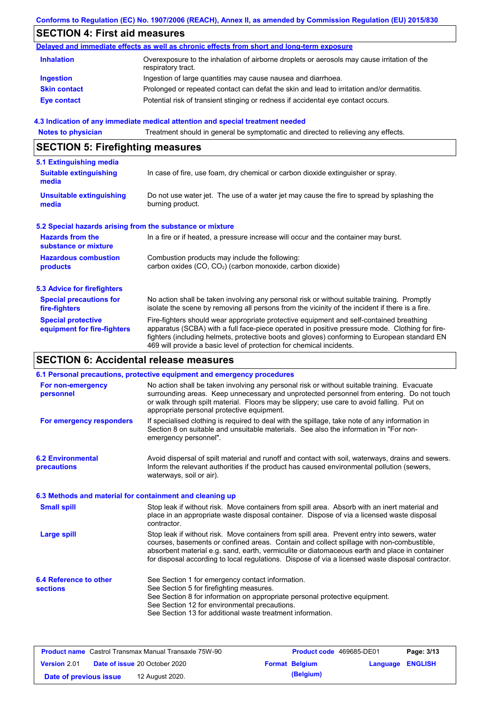| Conforms to Regulation (EC) No. 1907/2006 (REACH), Annex II, as amended by Commission Regulation (EU) 2015/830 |  |
|----------------------------------------------------------------------------------------------------------------|--|
|----------------------------------------------------------------------------------------------------------------|--|

### **SECTION 4: First aid measures**

| Delayed and immediate effects as well as chronic effects from short and long-term exposure |                                                                                                                   |  |  |
|--------------------------------------------------------------------------------------------|-------------------------------------------------------------------------------------------------------------------|--|--|
| <b>Inhalation</b>                                                                          | Overexposure to the inhalation of airborne droplets or aerosols may cause irritation of the<br>respiratory tract. |  |  |
| Ingestion                                                                                  | Ingestion of large quantities may cause nausea and diarrhoea.                                                     |  |  |
| <b>Skin contact</b>                                                                        | Prolonged or repeated contact can defat the skin and lead to irritation and/or dermatitis.                        |  |  |
| Eye contact                                                                                | Potential risk of transient stinging or redness if accidental eye contact occurs.                                 |  |  |

### **4.3 Indication of any immediate medical attention and special treatment needed**

Notes to physician Treatment should in general be symptomatic and directed to relieving any effects.

## **SECTION 5: Firefighting measures**

| 5.1 Extinguishing media                                   |                                                                                                                                                                                                                                                                                                                                                                   |
|-----------------------------------------------------------|-------------------------------------------------------------------------------------------------------------------------------------------------------------------------------------------------------------------------------------------------------------------------------------------------------------------------------------------------------------------|
| <b>Suitable extinguishing</b><br>media                    | In case of fire, use foam, dry chemical or carbon dioxide extinguisher or spray.                                                                                                                                                                                                                                                                                  |
| <b>Unsuitable extinguishing</b><br>media                  | Do not use water jet. The use of a water jet may cause the fire to spread by splashing the<br>burning product.                                                                                                                                                                                                                                                    |
| 5.2 Special hazards arising from the substance or mixture |                                                                                                                                                                                                                                                                                                                                                                   |
| <b>Hazards from the</b><br>substance or mixture           | In a fire or if heated, a pressure increase will occur and the container may burst.                                                                                                                                                                                                                                                                               |
| <b>Hazardous combustion</b><br>products                   | Combustion products may include the following:<br>carbon oxides (CO, CO <sub>2</sub> ) (carbon monoxide, carbon dioxide)                                                                                                                                                                                                                                          |
| 5.3 Advice for firefighters                               |                                                                                                                                                                                                                                                                                                                                                                   |
| <b>Special precautions for</b><br>fire-fighters           | No action shall be taken involving any personal risk or without suitable training. Promptly<br>isolate the scene by removing all persons from the vicinity of the incident if there is a fire.                                                                                                                                                                    |
| <b>Special protective</b><br>equipment for fire-fighters  | Fire-fighters should wear appropriate protective equipment and self-contained breathing<br>apparatus (SCBA) with a full face-piece operated in positive pressure mode. Clothing for fire-<br>fighters (including helmets, protective boots and gloves) conforming to European standard EN<br>469 will provide a basic level of protection for chemical incidents. |

# **SECTION 6: Accidental release measures**

|                                                          | 6.1 Personal precautions, protective equipment and emergency procedures                                                                                                                                                                                                                                                                                                                        |
|----------------------------------------------------------|------------------------------------------------------------------------------------------------------------------------------------------------------------------------------------------------------------------------------------------------------------------------------------------------------------------------------------------------------------------------------------------------|
| For non-emergency<br>personnel                           | No action shall be taken involving any personal risk or without suitable training. Evacuate<br>surrounding areas. Keep unnecessary and unprotected personnel from entering. Do not touch<br>or walk through spilt material. Floors may be slippery; use care to avoid falling. Put on<br>appropriate personal protective equipment.                                                            |
| For emergency responders                                 | If specialised clothing is required to deal with the spillage, take note of any information in<br>Section 8 on suitable and unsuitable materials. See also the information in "For non-<br>emergency personnel".                                                                                                                                                                               |
| <b>6.2 Environmental</b><br>precautions                  | Avoid dispersal of spilt material and runoff and contact with soil, waterways, drains and sewers.<br>Inform the relevant authorities if the product has caused environmental pollution (sewers,<br>waterways, soil or air).                                                                                                                                                                    |
| 6.3 Methods and material for containment and cleaning up |                                                                                                                                                                                                                                                                                                                                                                                                |
| <b>Small spill</b>                                       | Stop leak if without risk. Move containers from spill area. Absorb with an inert material and<br>place in an appropriate waste disposal container. Dispose of via a licensed waste disposal<br>contractor.                                                                                                                                                                                     |
| <b>Large spill</b>                                       | Stop leak if without risk. Move containers from spill area. Prevent entry into sewers, water<br>courses, basements or confined areas. Contain and collect spillage with non-combustible,<br>absorbent material e.g. sand, earth, vermiculite or diatomaceous earth and place in container<br>for disposal according to local regulations. Dispose of via a licensed waste disposal contractor. |
| 6.4 Reference to other<br><b>sections</b>                | See Section 1 for emergency contact information.<br>See Section 5 for firefighting measures.<br>See Section 8 for information on appropriate personal protective equipment.<br>See Section 12 for environmental precautions.<br>See Section 13 for additional waste treatment information.                                                                                                     |

|                        | <b>Product name</b> Castrol Transmax Manual Transaxle 75W-90 | <b>Product code</b> 469685-DE01 |                  | Page: 3/13 |
|------------------------|--------------------------------------------------------------|---------------------------------|------------------|------------|
| <b>Version 2.01</b>    | <b>Date of issue 20 October 2020</b>                         | <b>Format Belgium</b>           | Language ENGLISH |            |
| Date of previous issue | 12 August 2020.                                              | (Belgium)                       |                  |            |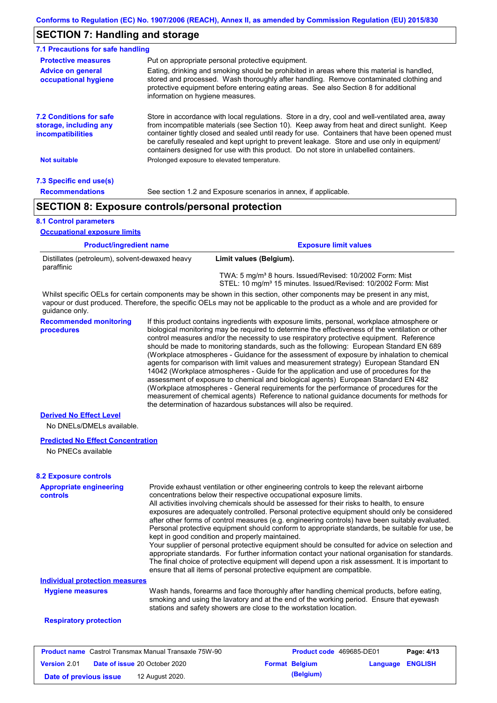## **SECTION 7: Handling and storage**

| 7.1 Precautions for safe handling                                                    |                                                                                                                                                                                                                                                                                                                                                                                                                                                                                          |
|--------------------------------------------------------------------------------------|------------------------------------------------------------------------------------------------------------------------------------------------------------------------------------------------------------------------------------------------------------------------------------------------------------------------------------------------------------------------------------------------------------------------------------------------------------------------------------------|
| <b>Protective measures</b>                                                           | Put on appropriate personal protective equipment.                                                                                                                                                                                                                                                                                                                                                                                                                                        |
| <b>Advice on general</b><br>occupational hygiene                                     | Eating, drinking and smoking should be prohibited in areas where this material is handled,<br>stored and processed. Wash thoroughly after handling. Remove contaminated clothing and<br>protective equipment before entering eating areas. See also Section 8 for additional<br>information on hygiene measures.                                                                                                                                                                         |
| <b>7.2 Conditions for safe</b><br>storage, including any<br><i>incompatibilities</i> | Store in accordance with local regulations. Store in a dry, cool and well-ventilated area, away<br>from incompatible materials (see Section 10). Keep away from heat and direct sunlight. Keep<br>container tightly closed and sealed until ready for use. Containers that have been opened must<br>be carefully resealed and kept upright to prevent leakage. Store and use only in equipment/<br>containers designed for use with this product. Do not store in unlabelled containers. |
| <b>Not suitable</b>                                                                  | Prolonged exposure to elevated temperature.                                                                                                                                                                                                                                                                                                                                                                                                                                              |
| 7.3 Specific end use(s)                                                              |                                                                                                                                                                                                                                                                                                                                                                                                                                                                                          |
| <b>Recommendations</b>                                                               | See section 1.2 and Exposure scenarios in annex, if applicable.                                                                                                                                                                                                                                                                                                                                                                                                                          |
|                                                                                      | <b>SECTION 8: Exposure controls/personal protection</b>                                                                                                                                                                                                                                                                                                                                                                                                                                  |
| <b>8.1 Control parameters</b>                                                        |                                                                                                                                                                                                                                                                                                                                                                                                                                                                                          |

**Occupational exposure limits**

| <b>Product/ingredient name</b>                               | <b>Exposure limit values</b>                                                                                                                                                 |
|--------------------------------------------------------------|------------------------------------------------------------------------------------------------------------------------------------------------------------------------------|
| Distillates (petroleum), solvent-dewaxed heavy<br>paraffinic | Limit values (Belgium).<br>TWA: 5 mg/m <sup>3</sup> 8 hours. Issued/Revised: 10/2002 Form: Mist<br>STEL: 10 mg/m <sup>3</sup> 15 minutes. Issued/Revised: 10/2002 Form: Mist |

Whilst specific OELs for certain components may be shown in this section, other components may be present in any mist, vapour or dust produced. Therefore, the specific OELs may not be applicable to the product as a whole and are provided for guidance only.

**Recommended monitoring procedures**

If this product contains ingredients with exposure limits, personal, workplace atmosphere or biological monitoring may be required to determine the effectiveness of the ventilation or other control measures and/or the necessity to use respiratory protective equipment. Reference should be made to monitoring standards, such as the following: European Standard EN 689 (Workplace atmospheres - Guidance for the assessment of exposure by inhalation to chemical agents for comparison with limit values and measurement strategy) European Standard EN 14042 (Workplace atmospheres - Guide for the application and use of procedures for the assessment of exposure to chemical and biological agents) European Standard EN 482 (Workplace atmospheres - General requirements for the performance of procedures for the measurement of chemical agents) Reference to national guidance documents for methods for the determination of hazardous substances will also be required.

#### **Derived No Effect Level**

No DNELs/DMELs available.

#### **Predicted No Effect Concentration**

No PNECs available

| <b>Appropriate engineering</b><br>controls | Provide exhaust ventilation or other engineering controls to keep the relevant airborne<br>concentrations below their respective occupational exposure limits.<br>All activities involving chemicals should be assessed for their risks to health, to ensure<br>exposures are adequately controlled. Personal protective equipment should only be considered<br>after other forms of control measures (e.g. engineering controls) have been suitably evaluated.<br>Personal protective equipment should conform to appropriate standards, be suitable for use, be<br>kept in good condition and properly maintained.<br>Your supplier of personal protective equipment should be consulted for advice on selection and<br>appropriate standards. For further information contact your national organisation for standards.<br>The final choice of protective equipment will depend upon a risk assessment. It is important to<br>ensure that all items of personal protective equipment are compatible. |
|--------------------------------------------|---------------------------------------------------------------------------------------------------------------------------------------------------------------------------------------------------------------------------------------------------------------------------------------------------------------------------------------------------------------------------------------------------------------------------------------------------------------------------------------------------------------------------------------------------------------------------------------------------------------------------------------------------------------------------------------------------------------------------------------------------------------------------------------------------------------------------------------------------------------------------------------------------------------------------------------------------------------------------------------------------------|
| <b>Individual protection measures</b>      |                                                                                                                                                                                                                                                                                                                                                                                                                                                                                                                                                                                                                                                                                                                                                                                                                                                                                                                                                                                                         |
| <b>Hygiene measures</b>                    | Wash hands, forearms and face thoroughly after handling chemical products, before eating,<br>smoking and using the lavatory and at the end of the working period. Ensure that eyewash<br>stations and safety showers are close to the workstation location.                                                                                                                                                                                                                                                                                                                                                                                                                                                                                                                                                                                                                                                                                                                                             |
| <b>Respiratory protection</b>              |                                                                                                                                                                                                                                                                                                                                                                                                                                                                                                                                                                                                                                                                                                                                                                                                                                                                                                                                                                                                         |

|                        | <b>Product name</b> Castrol Transmax Manual Transaxle 75W-90 | <b>Product code</b> 469685-DE01 |                  | Page: 4/13 |
|------------------------|--------------------------------------------------------------|---------------------------------|------------------|------------|
| <b>Version 2.01</b>    | <b>Date of issue 20 October 2020</b>                         | <b>Format Belgium</b>           | Language ENGLISH |            |
| Date of previous issue | 12 August 2020.                                              | (Belgium)                       |                  |            |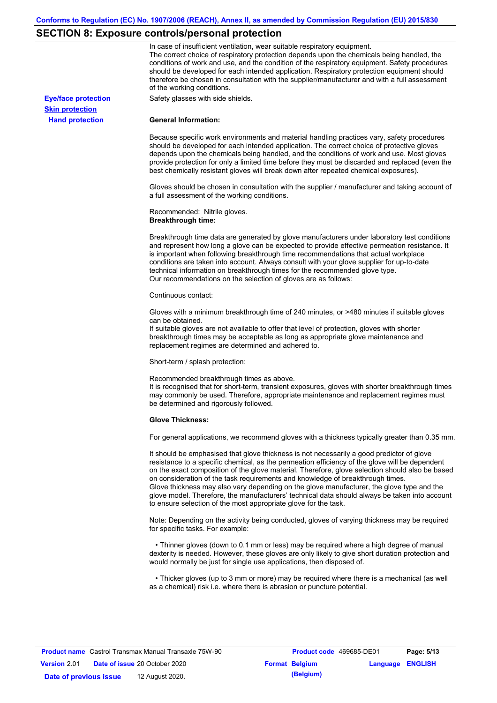# **SECTION 8: Exposure controls/personal protection**

|                            | In case of insufficient ventilation, wear suitable respiratory equipment.<br>The correct choice of respiratory protection depends upon the chemicals being handled, the<br>conditions of work and use, and the condition of the respiratory equipment. Safety procedures<br>should be developed for each intended application. Respiratory protection equipment should<br>therefore be chosen in consultation with the supplier/manufacturer and with a full assessment<br>of the working conditions.                                                                                                                                             |
|----------------------------|---------------------------------------------------------------------------------------------------------------------------------------------------------------------------------------------------------------------------------------------------------------------------------------------------------------------------------------------------------------------------------------------------------------------------------------------------------------------------------------------------------------------------------------------------------------------------------------------------------------------------------------------------|
| <b>Eye/face protection</b> | Safety glasses with side shields.                                                                                                                                                                                                                                                                                                                                                                                                                                                                                                                                                                                                                 |
| <b>Skin protection</b>     |                                                                                                                                                                                                                                                                                                                                                                                                                                                                                                                                                                                                                                                   |
| <b>Hand protection</b>     | <b>General Information:</b>                                                                                                                                                                                                                                                                                                                                                                                                                                                                                                                                                                                                                       |
|                            | Because specific work environments and material handling practices vary, safety procedures<br>should be developed for each intended application. The correct choice of protective gloves<br>depends upon the chemicals being handled, and the conditions of work and use. Most gloves<br>provide protection for only a limited time before they must be discarded and replaced (even the<br>best chemically resistant gloves will break down after repeated chemical exposures).                                                                                                                                                                  |
|                            | Gloves should be chosen in consultation with the supplier / manufacturer and taking account of<br>a full assessment of the working conditions.                                                                                                                                                                                                                                                                                                                                                                                                                                                                                                    |
|                            | Recommended: Nitrile gloves.<br><b>Breakthrough time:</b>                                                                                                                                                                                                                                                                                                                                                                                                                                                                                                                                                                                         |
|                            | Breakthrough time data are generated by glove manufacturers under laboratory test conditions<br>and represent how long a glove can be expected to provide effective permeation resistance. It<br>is important when following breakthrough time recommendations that actual workplace<br>conditions are taken into account. Always consult with your glove supplier for up-to-date<br>technical information on breakthrough times for the recommended glove type.<br>Our recommendations on the selection of gloves are as follows:                                                                                                                |
|                            | Continuous contact:                                                                                                                                                                                                                                                                                                                                                                                                                                                                                                                                                                                                                               |
|                            | Gloves with a minimum breakthrough time of 240 minutes, or >480 minutes if suitable gloves<br>can be obtained.<br>If suitable gloves are not available to offer that level of protection, gloves with shorter<br>breakthrough times may be acceptable as long as appropriate glove maintenance and<br>replacement regimes are determined and adhered to.                                                                                                                                                                                                                                                                                          |
|                            | Short-term / splash protection:                                                                                                                                                                                                                                                                                                                                                                                                                                                                                                                                                                                                                   |
|                            | Recommended breakthrough times as above.<br>It is recognised that for short-term, transient exposures, gloves with shorter breakthrough times<br>may commonly be used. Therefore, appropriate maintenance and replacement regimes must<br>be determined and rigorously followed.                                                                                                                                                                                                                                                                                                                                                                  |
|                            | <b>Glove Thickness:</b>                                                                                                                                                                                                                                                                                                                                                                                                                                                                                                                                                                                                                           |
|                            | For general applications, we recommend gloves with a thickness typically greater than 0.35 mm.                                                                                                                                                                                                                                                                                                                                                                                                                                                                                                                                                    |
|                            | It should be emphasised that glove thickness is not necessarily a good predictor of glove<br>resistance to a specific chemical, as the permeation efficiency of the glove will be dependent<br>on the exact composition of the glove material. Therefore, glove selection should also be based<br>on consideration of the task requirements and knowledge of breakthrough times.<br>Glove thickness may also vary depending on the glove manufacturer, the glove type and the<br>glove model. Therefore, the manufacturers' technical data should always be taken into account<br>to ensure selection of the most appropriate glove for the task. |
|                            | Note: Depending on the activity being conducted, gloves of varying thickness may be required<br>for specific tasks. For example:                                                                                                                                                                                                                                                                                                                                                                                                                                                                                                                  |
|                            | • Thinner gloves (down to 0.1 mm or less) may be required where a high degree of manual<br>dexterity is needed. However, these gloves are only likely to give short duration protection and<br>would normally be just for single use applications, then disposed of.                                                                                                                                                                                                                                                                                                                                                                              |
|                            | • Thicker gloves (up to 3 mm or more) may be required where there is a mechanical (as well<br>as a chemical) risk i.e. where there is abrasion or puncture potential.                                                                                                                                                                                                                                                                                                                                                                                                                                                                             |

| <b>Product name</b> Castrol Transmax Manual Transaxle 75W-90 |  | Product code 469685-DE01             |  | Page: 5/13            |                  |  |
|--------------------------------------------------------------|--|--------------------------------------|--|-----------------------|------------------|--|
| <b>Version 2.01</b>                                          |  | <b>Date of issue 20 October 2020</b> |  | <b>Format Belgium</b> | Language ENGLISH |  |
| Date of previous issue                                       |  | 12 August 2020.                      |  | (Belgium)             |                  |  |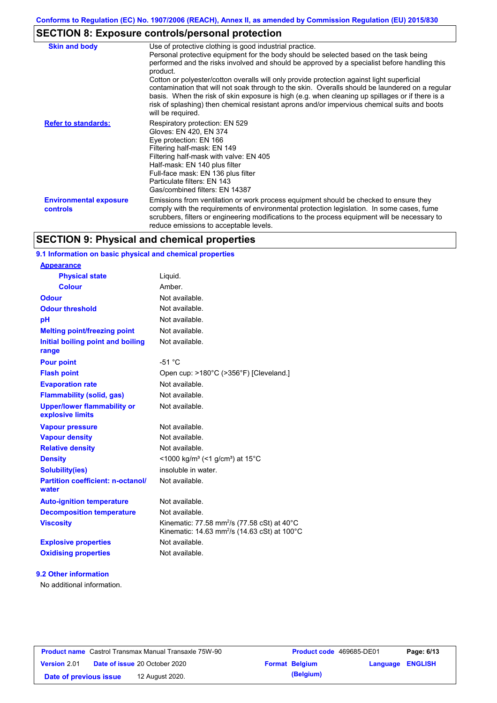# **SECTION 8: Exposure controls/personal protection**

| <b>Skin and body</b>                      | Use of protective clothing is good industrial practice.<br>Personal protective equipment for the body should be selected based on the task being<br>performed and the risks involved and should be approved by a specialist before handling this<br>product.<br>Cotton or polyester/cotton overalls will only provide protection against light superficial<br>contamination that will not soak through to the skin. Overalls should be laundered on a regular<br>basis. When the risk of skin exposure is high (e.g. when cleaning up spillages or if there is a<br>risk of splashing) then chemical resistant aprons and/or impervious chemical suits and boots<br>will be required. |
|-------------------------------------------|---------------------------------------------------------------------------------------------------------------------------------------------------------------------------------------------------------------------------------------------------------------------------------------------------------------------------------------------------------------------------------------------------------------------------------------------------------------------------------------------------------------------------------------------------------------------------------------------------------------------------------------------------------------------------------------|
| <b>Refer to standards:</b>                | Respiratory protection: EN 529<br>Gloves: EN 420, EN 374<br>Eye protection: EN 166<br>Filtering half-mask: EN 149<br>Filtering half-mask with valve: EN 405<br>Half-mask: EN 140 plus filter<br>Full-face mask: EN 136 plus filter<br>Particulate filters: EN 143<br>Gas/combined filters: EN 14387                                                                                                                                                                                                                                                                                                                                                                                   |
| <b>Environmental exposure</b><br>controls | Emissions from ventilation or work process equipment should be checked to ensure they<br>comply with the requirements of environmental protection legislation. In some cases, fume<br>scrubbers, filters or engineering modifications to the process equipment will be necessary to<br>reduce emissions to acceptable levels.                                                                                                                                                                                                                                                                                                                                                         |

## **SECTION 9: Physical and chemical properties**

### **9.1 Information on basic physical and chemical properties**

#### **9.2 Other information**

No additional information.

|                        | <b>Product name</b> Castrol Transmax Manual Transaxle 75W-90 | <b>Product code</b> 469685-DE01 |                         | Page: 6/13 |
|------------------------|--------------------------------------------------------------|---------------------------------|-------------------------|------------|
| Version 2.01           | <b>Date of issue 20 October 2020</b>                         | <b>Format Belgium</b>           | <b>Language ENGLISH</b> |            |
| Date of previous issue | 12 August 2020.                                              | (Belgium)                       |                         |            |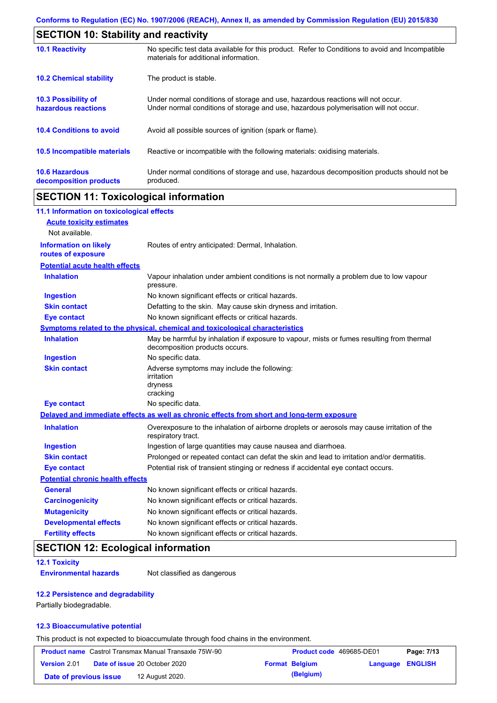| <b>SECTION 10: Stability and reactivity</b>       |                                                                                                                                                                         |  |  |  |
|---------------------------------------------------|-------------------------------------------------------------------------------------------------------------------------------------------------------------------------|--|--|--|
| <b>10.1 Reactivity</b>                            | No specific test data available for this product. Refer to Conditions to avoid and Incompatible<br>materials for additional information.                                |  |  |  |
| <b>10.2 Chemical stability</b>                    | The product is stable.                                                                                                                                                  |  |  |  |
| <b>10.3 Possibility of</b><br>hazardous reactions | Under normal conditions of storage and use, hazardous reactions will not occur.<br>Under normal conditions of storage and use, hazardous polymerisation will not occur. |  |  |  |
| <b>10.4 Conditions to avoid</b>                   | Avoid all possible sources of ignition (spark or flame).                                                                                                                |  |  |  |
| <b>10.5 Incompatible materials</b>                | Reactive or incompatible with the following materials: oxidising materials.                                                                                             |  |  |  |
| <b>10.6 Hazardous</b><br>decomposition products   | Under normal conditions of storage and use, hazardous decomposition products should not be<br>produced.                                                                 |  |  |  |

## **SECTION 11: Toxicological information**

| 11.1 Information on toxicological effects          |                                                                                                                             |
|----------------------------------------------------|-----------------------------------------------------------------------------------------------------------------------------|
| <b>Acute toxicity estimates</b>                    |                                                                                                                             |
| Not available.                                     |                                                                                                                             |
| <b>Information on likely</b><br>routes of exposure | Routes of entry anticipated: Dermal, Inhalation.                                                                            |
| <b>Potential acute health effects</b>              |                                                                                                                             |
| <b>Inhalation</b>                                  | Vapour inhalation under ambient conditions is not normally a problem due to low vapour<br>pressure.                         |
| <b>Ingestion</b>                                   | No known significant effects or critical hazards.                                                                           |
| <b>Skin contact</b>                                | Defatting to the skin. May cause skin dryness and irritation.                                                               |
| <b>Eye contact</b>                                 | No known significant effects or critical hazards.                                                                           |
|                                                    | Symptoms related to the physical, chemical and toxicological characteristics                                                |
| <b>Inhalation</b>                                  | May be harmful by inhalation if exposure to vapour, mists or fumes resulting from thermal<br>decomposition products occurs. |
| <b>Ingestion</b>                                   | No specific data.                                                                                                           |
| <b>Skin contact</b>                                | Adverse symptoms may include the following:<br>irritation<br>dryness<br>cracking                                            |
| <b>Eye contact</b>                                 | No specific data.                                                                                                           |
|                                                    | Delayed and immediate effects as well as chronic effects from short and long-term exposure                                  |
| <b>Inhalation</b>                                  | Overexposure to the inhalation of airborne droplets or aerosols may cause irritation of the<br>respiratory tract.           |
| <b>Ingestion</b>                                   | Ingestion of large quantities may cause nausea and diarrhoea.                                                               |
| <b>Skin contact</b>                                | Prolonged or repeated contact can defat the skin and lead to irritation and/or dermatitis.                                  |
| <b>Eye contact</b>                                 | Potential risk of transient stinging or redness if accidental eye contact occurs.                                           |
| <b>Potential chronic health effects</b>            |                                                                                                                             |
| <b>General</b>                                     | No known significant effects or critical hazards.                                                                           |
| <b>Carcinogenicity</b>                             | No known significant effects or critical hazards.                                                                           |
| <b>Mutagenicity</b>                                | No known significant effects or critical hazards.                                                                           |
| <b>Developmental effects</b>                       | No known significant effects or critical hazards.                                                                           |
| <b>Fertility effects</b>                           | No known significant effects or critical hazards.                                                                           |

# **SECTION 12: Ecological information**

#### **12.1 Toxicity**

**Environmental hazards** Not classified as dangerous

#### **12.2 Persistence and degradability**

Partially biodegradable.

#### **12.3 Bioaccumulative potential**

This product is not expected to bioaccumulate through food chains in the environment.

|                        | <b>Product name</b> Castrol Transmax Manual Transaxle 75W-90 | <b>Product code</b> 469685-DE01 |                         | Page: 7/13 |
|------------------------|--------------------------------------------------------------|---------------------------------|-------------------------|------------|
| <b>Version 2.01</b>    | <b>Date of issue 20 October 2020</b>                         | <b>Format Belgium</b>           | <b>Language ENGLISH</b> |            |
| Date of previous issue | 12 August 2020.                                              | (Belgium)                       |                         |            |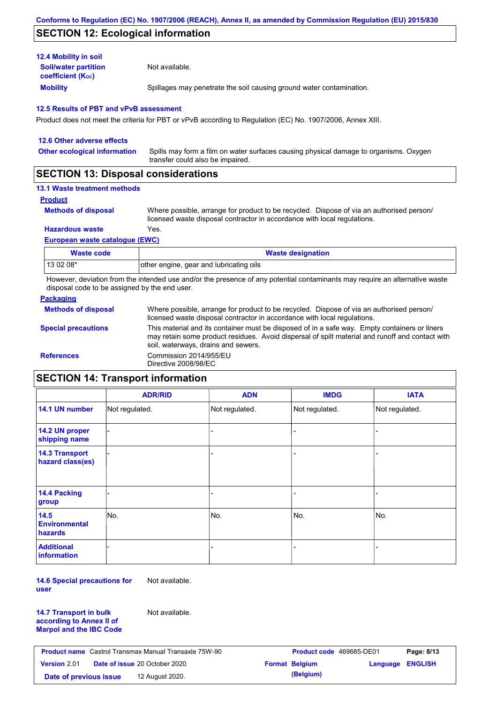## **SECTION 12: Ecological information**

| <b>12.4 Mobility in soil</b>                            |                                                                      |
|---------------------------------------------------------|----------------------------------------------------------------------|
| <b>Soil/water partition</b><br><b>coefficient (Koc)</b> | Not available.                                                       |
| <b>Mobility</b>                                         | Spillages may penetrate the soil causing ground water contamination. |

#### **12.5 Results of PBT and vPvB assessment**

Product does not meet the criteria for PBT or vPvB according to Regulation (EC) No. 1907/2006, Annex XIII.

| 12.6 Other adverse effects          |                                                                                                                           |
|-------------------------------------|---------------------------------------------------------------------------------------------------------------------------|
| <b>Other ecological information</b> | Spills may form a film on water surfaces causing physical damage to organisms. Oxygen<br>transfer could also be impaired. |
|                                     |                                                                                                                           |

### **SECTION 13: Disposal considerations**

### **13.1 Waste treatment methods**

**Product**

**Methods of disposal**

Where possible, arrange for product to be recycled. Dispose of via an authorised person/ licensed waste disposal contractor in accordance with local regulations.

**Hazardous waste** Yes.

#### **European waste catalogue (EWC)**

| Waste code | <b>Waste designation</b>                |
|------------|-----------------------------------------|
| 13 02 08*  | other engine, gear and lubricating oils |

However, deviation from the intended use and/or the presence of any potential contaminants may require an alternative waste disposal code to be assigned by the end user.

#### **Packaging**

| <b>Methods of disposal</b> | Where possible, arrange for product to be recycled. Dispose of via an authorised person/<br>licensed waste disposal contractor in accordance with local regulations.                                                                    |
|----------------------------|-----------------------------------------------------------------------------------------------------------------------------------------------------------------------------------------------------------------------------------------|
| <b>Special precautions</b> | This material and its container must be disposed of in a safe way. Empty containers or liners<br>may retain some product residues. Avoid dispersal of spilt material and runoff and contact with<br>soil, waterways, drains and sewers. |
| <b>References</b>          | Commission 2014/955/EU<br>Directive 2008/98/EC                                                                                                                                                                                          |

# **SECTION 14: Transport information**

|                                                | <b>ADR/RID</b> | <b>ADN</b>     | <b>IMDG</b>    | <b>IATA</b>    |
|------------------------------------------------|----------------|----------------|----------------|----------------|
| 14.1 UN number                                 | Not regulated. | Not regulated. | Not regulated. | Not regulated. |
| 14.2 UN proper<br>shipping name                |                |                |                |                |
| <b>14.3 Transport</b><br>hazard class(es)      |                |                |                |                |
| 14.4 Packing<br>group                          |                |                |                |                |
| 14.5<br><b>Environmental</b><br><b>hazards</b> | No.            | No.            | No.            | No.            |
| <b>Additional</b><br><b>information</b>        |                |                |                |                |

**14.6 Special precautions for user** Not available.

**14.7 Transport in bulk according to Annex II of Marpol and the IBC Code** Not available.

|                        | <b>Product name</b> Castrol Transmax Manual Transaxle 75W-90 | <b>Product code</b> 469685-DE01 |                         | Page: 8/13 |
|------------------------|--------------------------------------------------------------|---------------------------------|-------------------------|------------|
| Version 2.01           | <b>Date of issue 20 October 2020</b>                         | <b>Format Belgium</b>           | <b>Language ENGLISH</b> |            |
| Date of previous issue | 12 August 2020.                                              | (Belgium)                       |                         |            |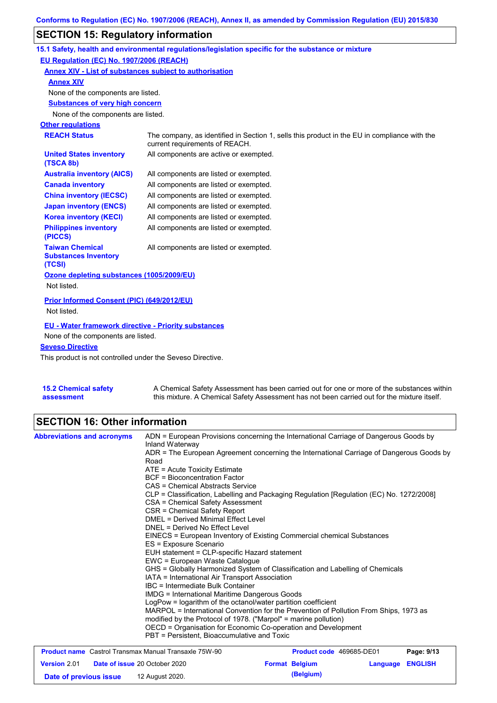# **SECTION 15: Regulatory information**

|                                                                 | 15.1 Safety, health and environmental regulations/legislation specific for the substance or mixture                            |
|-----------------------------------------------------------------|--------------------------------------------------------------------------------------------------------------------------------|
| EU Regulation (EC) No. 1907/2006 (REACH)                        |                                                                                                                                |
| Annex XIV - List of substances subject to authorisation         |                                                                                                                                |
| <b>Annex XIV</b>                                                |                                                                                                                                |
| None of the components are listed.                              |                                                                                                                                |
| <b>Substances of very high concern</b>                          |                                                                                                                                |
| None of the components are listed.                              |                                                                                                                                |
| <b>Other regulations</b>                                        |                                                                                                                                |
| <b>REACH Status</b>                                             | The company, as identified in Section 1, sells this product in the EU in compliance with the<br>current requirements of REACH. |
| <b>United States inventory</b><br>(TSCA 8b)                     | All components are active or exempted.                                                                                         |
| <b>Australia inventory (AICS)</b>                               | All components are listed or exempted.                                                                                         |
| <b>Canada inventory</b>                                         | All components are listed or exempted.                                                                                         |
| <b>China inventory (IECSC)</b>                                  | All components are listed or exempted.                                                                                         |
| <b>Japan inventory (ENCS)</b>                                   | All components are listed or exempted.                                                                                         |
| <b>Korea inventory (KECI)</b>                                   | All components are listed or exempted.                                                                                         |
| <b>Philippines inventory</b><br>(PICCS)                         | All components are listed or exempted.                                                                                         |
| <b>Taiwan Chemical</b><br><b>Substances Inventory</b><br>(TCSI) | All components are listed or exempted.                                                                                         |
| Ozone depleting substances (1005/2009/EU)<br>Not listed.        |                                                                                                                                |
| Prior Informed Consent (PIC) (649/2012/EU)<br>Not listed.       |                                                                                                                                |
| <b>EU - Water framework directive - Priority substances</b>     |                                                                                                                                |
| None of the components are listed.                              |                                                                                                                                |
| <b>Seveso Directive</b>                                         |                                                                                                                                |

This product is not controlled under the Seveso Directive.

| <b>15.2 Chemical safety</b> | A Chemical Safety Assessment has been carried out for one or more of the substances within  |
|-----------------------------|---------------------------------------------------------------------------------------------|
| assessment                  | this mixture. A Chemical Safety Assessment has not been carried out for the mixture itself. |

# **SECTION 16: Other information**

| <b>Abbreviations and acronyms</b>                            | Inland Waterway                                                                          | ADN = European Provisions concerning the International Carriage of Dangerous Goods by    |          |                |  |  |  |
|--------------------------------------------------------------|------------------------------------------------------------------------------------------|------------------------------------------------------------------------------------------|----------|----------------|--|--|--|
|                                                              | Road                                                                                     | ADR = The European Agreement concerning the International Carriage of Dangerous Goods by |          |                |  |  |  |
|                                                              | ATE = Acute Toxicity Estimate                                                            |                                                                                          |          |                |  |  |  |
|                                                              | <b>BCF</b> = Bioconcentration Factor                                                     |                                                                                          |          |                |  |  |  |
|                                                              | CAS = Chemical Abstracts Service                                                         |                                                                                          |          |                |  |  |  |
|                                                              | CLP = Classification, Labelling and Packaging Regulation [Regulation (EC) No. 1272/2008] |                                                                                          |          |                |  |  |  |
|                                                              | CSA = Chemical Safety Assessment                                                         |                                                                                          |          |                |  |  |  |
|                                                              | CSR = Chemical Safety Report                                                             |                                                                                          |          |                |  |  |  |
|                                                              | DMEL = Derived Minimal Effect Level                                                      |                                                                                          |          |                |  |  |  |
|                                                              | DNEL = Derived No Effect Level                                                           |                                                                                          |          |                |  |  |  |
|                                                              |                                                                                          | EINECS = European Inventory of Existing Commercial chemical Substances                   |          |                |  |  |  |
|                                                              | ES = Exposure Scenario                                                                   |                                                                                          |          |                |  |  |  |
|                                                              | EUH statement = CLP-specific Hazard statement                                            |                                                                                          |          |                |  |  |  |
|                                                              | EWC = European Waste Catalogue                                                           |                                                                                          |          |                |  |  |  |
|                                                              | GHS = Globally Harmonized System of Classification and Labelling of Chemicals            |                                                                                          |          |                |  |  |  |
|                                                              | IATA = International Air Transport Association                                           |                                                                                          |          |                |  |  |  |
|                                                              | IBC = Intermediate Bulk Container                                                        |                                                                                          |          |                |  |  |  |
|                                                              | <b>IMDG = International Maritime Dangerous Goods</b>                                     |                                                                                          |          |                |  |  |  |
|                                                              | LogPow = logarithm of the octanol/water partition coefficient                            |                                                                                          |          |                |  |  |  |
|                                                              |                                                                                          | MARPOL = International Convention for the Prevention of Pollution From Ships, 1973 as    |          |                |  |  |  |
|                                                              | modified by the Protocol of 1978. ("Marpol" = marine pollution)                          |                                                                                          |          |                |  |  |  |
|                                                              |                                                                                          | OECD = Organisation for Economic Co-operation and Development                            |          |                |  |  |  |
|                                                              | PBT = Persistent, Bioaccumulative and Toxic                                              |                                                                                          |          |                |  |  |  |
| <b>Product name</b> Castrol Transmax Manual Transaxle 75W-90 |                                                                                          | <b>Product code</b> 469685-DE01                                                          |          | Page: 9/13     |  |  |  |
| <b>Version 2.01</b>                                          | <b>Date of issue 20 October 2020</b>                                                     | <b>Format Belgium</b>                                                                    | Language | <b>ENGLISH</b> |  |  |  |

**Date of previous issue 12 August 2020. (Belgium)**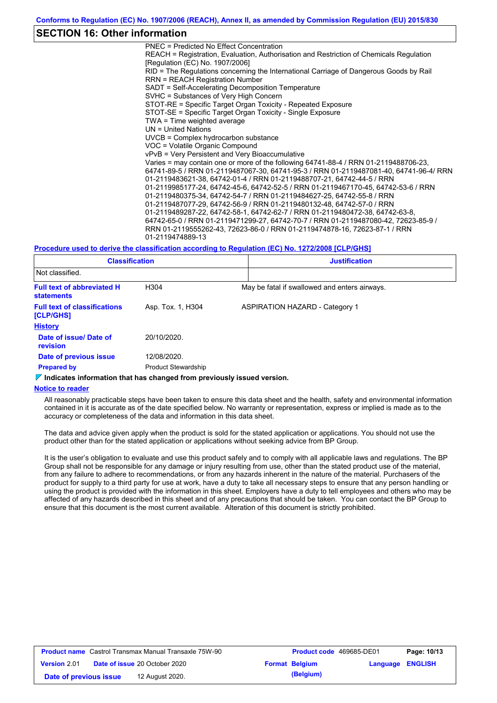### **SECTION 16: Other information**

PNEC = Predicted No Effect Concentration REACH = Registration, Evaluation, Authorisation and Restriction of Chemicals Regulation [Regulation (EC) No. 1907/2006] RID = The Regulations concerning the International Carriage of Dangerous Goods by Rail RRN = REACH Registration Number SADT = Self-Accelerating Decomposition Temperature SVHC = Substances of Very High Concern STOT-RE = Specific Target Organ Toxicity - Repeated Exposure STOT-SE = Specific Target Organ Toxicity - Single Exposure TWA = Time weighted average UN = United Nations UVCB = Complex hydrocarbon substance VOC = Volatile Organic Compound vPvB = Very Persistent and Very Bioaccumulative Varies = may contain one or more of the following 64741-88-4 / RRN 01-2119488706-23, 64741-89-5 / RRN 01-2119487067-30, 64741-95-3 / RRN 01-2119487081-40, 64741-96-4/ RRN 01-2119483621-38, 64742-01-4 / RRN 01-2119488707-21, 64742-44-5 / RRN 01-2119985177-24, 64742-45-6, 64742-52-5 / RRN 01-2119467170-45, 64742-53-6 / RRN 01-2119480375-34, 64742-54-7 / RRN 01-2119484627-25, 64742-55-8 / RRN 01-2119487077-29, 64742-56-9 / RRN 01-2119480132-48, 64742-57-0 / RRN 01-2119489287-22, 64742-58-1, 64742-62-7 / RRN 01-2119480472-38, 64742-63-8, 64742-65-0 / RRN 01-2119471299-27, 64742-70-7 / RRN 01-2119487080-42, 72623-85-9 / RRN 01-2119555262-43, 72623-86-0 / RRN 01-2119474878-16, 72623-87-1 / RRN 01-2119474889-13

#### **Procedure used to derive the classification according to Regulation (EC) No. 1272/2008 [CLP/GHS]**

| <b>Classification</b>                                  |                            | <b>Justification</b> |                                               |  |  |
|--------------------------------------------------------|----------------------------|----------------------|-----------------------------------------------|--|--|
| Not classified.                                        |                            |                      |                                               |  |  |
| <b>Full text of abbreviated H</b><br><b>statements</b> | H304                       |                      | May be fatal if swallowed and enters airways. |  |  |
| <b>Full text of classifications</b><br>[CLP/GHS]       | Asp. Tox. 1, H304          |                      | <b>ASPIRATION HAZARD - Category 1</b>         |  |  |
| <b>History</b>                                         |                            |                      |                                               |  |  |
| Date of issue/ Date of<br><b>revision</b>              | 20/10/2020.                |                      |                                               |  |  |
| Date of previous issue                                 | 12/08/2020.                |                      |                                               |  |  |
| <b>Prepared by</b>                                     | <b>Product Stewardship</b> |                      |                                               |  |  |

#### **Indicates information that has changed from previously issued version.**

#### **Notice to reader**

All reasonably practicable steps have been taken to ensure this data sheet and the health, safety and environmental information contained in it is accurate as of the date specified below. No warranty or representation, express or implied is made as to the accuracy or completeness of the data and information in this data sheet.

The data and advice given apply when the product is sold for the stated application or applications. You should not use the product other than for the stated application or applications without seeking advice from BP Group.

It is the user's obligation to evaluate and use this product safely and to comply with all applicable laws and regulations. The BP Group shall not be responsible for any damage or injury resulting from use, other than the stated product use of the material, from any failure to adhere to recommendations, or from any hazards inherent in the nature of the material. Purchasers of the product for supply to a third party for use at work, have a duty to take all necessary steps to ensure that any person handling or using the product is provided with the information in this sheet. Employers have a duty to tell employees and others who may be affected of any hazards described in this sheet and of any precautions that should be taken. You can contact the BP Group to ensure that this document is the most current available. Alteration of this document is strictly prohibited.

| <b>Product name</b> Castrol Transmax Manual Transaxle 75W-90 |  |                                      | <b>Product code</b> 469685-DE01 |                       | Page: 10/13             |  |
|--------------------------------------------------------------|--|--------------------------------------|---------------------------------|-----------------------|-------------------------|--|
| <b>Version 2.01</b>                                          |  | <b>Date of issue 20 October 2020</b> |                                 | <b>Format Belgium</b> | <b>Language ENGLISH</b> |  |
| Date of previous issue                                       |  | 12 August 2020.                      |                                 | (Belgium)             |                         |  |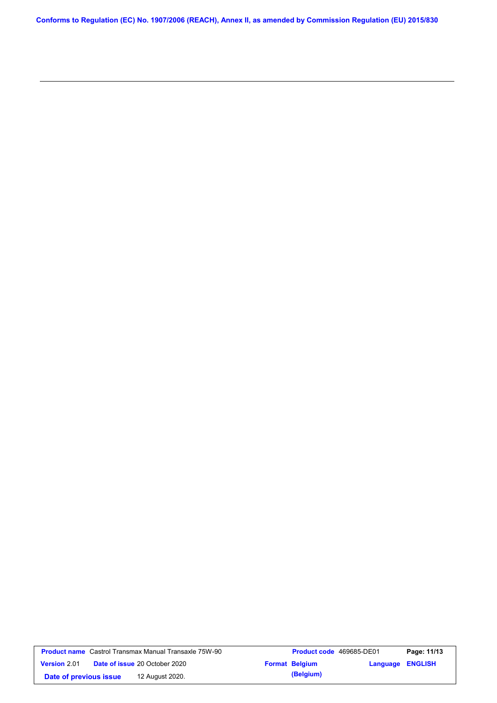| <b>Product name</b> Castrol Transmax Manual Transaxle 75W-90 |  |                                      | <b>Product code</b> 469685-DE01 |                       | Page: 11/13             |  |
|--------------------------------------------------------------|--|--------------------------------------|---------------------------------|-----------------------|-------------------------|--|
| Version 2.01                                                 |  | <b>Date of issue 20 October 2020</b> |                                 | <b>Format Belgium</b> | <b>Language ENGLISH</b> |  |
| Date of previous issue                                       |  | 12 August 2020.                      |                                 | (Belgium)             |                         |  |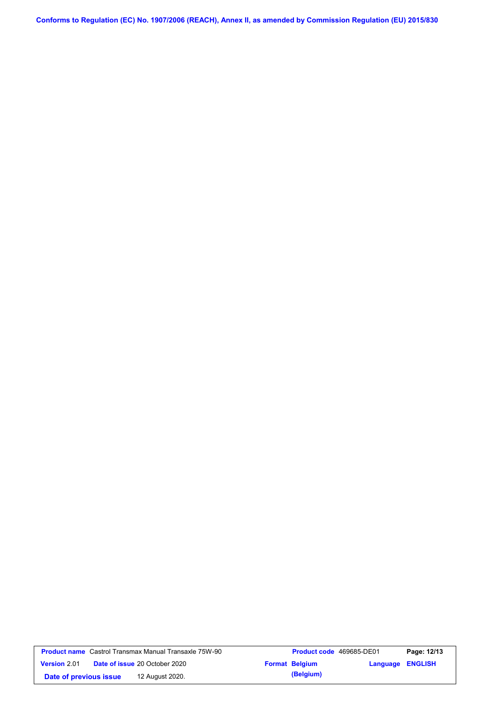| <b>Product name</b> Castrol Transmax Manual Transaxle 75W-90 |  |                                      | <b>Product code</b> 469685-DE01 |                       | Page: 12/13             |  |
|--------------------------------------------------------------|--|--------------------------------------|---------------------------------|-----------------------|-------------------------|--|
| Version 2.01                                                 |  | <b>Date of issue 20 October 2020</b> |                                 | <b>Format Belgium</b> | <b>Language ENGLISH</b> |  |
| Date of previous issue                                       |  | 12 August 2020.                      |                                 | (Belgium)             |                         |  |

 $\mathsf{l}$